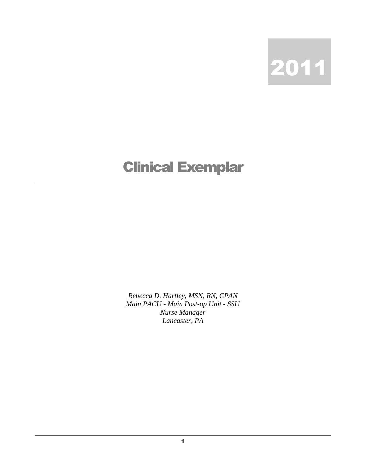

## Clinical Exemplar

*Rebecca D. Hartley, MSN, RN, CPAN Main PACU - Main Post-op Unit - SSU Nurse Manager Lancaster, PA*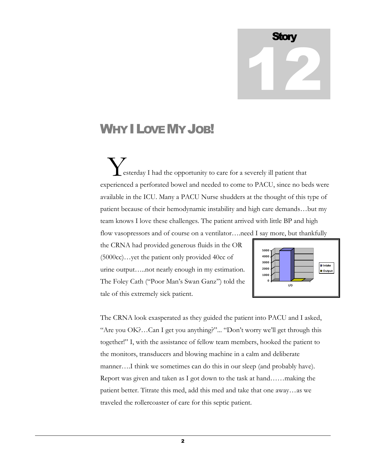## **Story** 12

## WHY I LOVE MY JOB!

 esterday I had the opportunity to care for a severely ill patient that experienced a perforated bowel and needed to come to PACU, since no beds were available in the ICU. Many a PACU Nurse shudders at the thought of this type of patient because of their hemodynamic instability and high care demands…but my team knows I love these challenges. The patient arrived with little BP and high flow vasopressors and of course on a ventilator....need I say more, but thankfully Y

the CRNA had provided generous fluids in the OR (5000cc)…yet the patient only provided 40cc of urine output…..not nearly enough in my estimation. The Foley Cath ("Poor Man"s Swan Ganz") told the tale of this extremely sick patient.



The CRNA look exasperated as they guided the patient into PACU and I asked, "Are you OK?…Can I get you anything?"... "Don"t worry we"ll get through this together!" I, with the assistance of fellow team members, hooked the patient to the monitors, transducers and blowing machine in a calm and deliberate manner….I think we sometimes can do this in our sleep (and probably have). Report was given and taken as I got down to the task at hand……making the patient better. Titrate this med, add this med and take that one away…as we traveled the rollercoaster of care for this septic patient.

2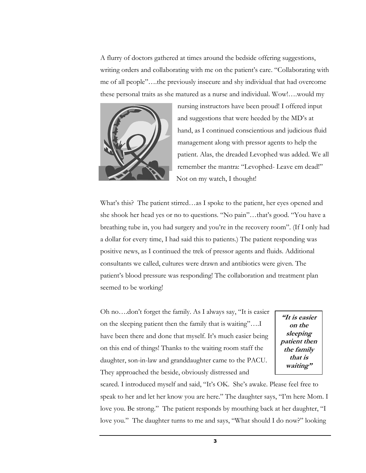A flurry of doctors gathered at times around the bedside offering suggestions, writing orders and collaborating with me on the patient's care. "Collaborating with me of all people"….the previously insecure and shy individual that had overcome these personal traits as she matured as a nurse and individual. Wow!….would my



nursing instructors have been proud! I offered input and suggestions that were heeded by the MD"s at hand, as I continued conscientious and judicious fluid management along with pressor agents to help the patient. Alas, the dreaded Levophed was added. We all remember the mantra: "Levophed- Leave em dead!" Not on my watch, I thought!

What's this? The patient stirred...as I spoke to the patient, her eyes opened and she shook her head yes or no to questions. "No pain"...that's good. "You have a breathing tube in, you had surgery and you"re in the recovery room". (If I only had a dollar for every time, I had said this to patients.) The patient responding was positive news, as I continued the trek of pressor agents and fluids. Additional consultants we called, cultures were drawn and antibiotics were given. The patient"s blood pressure was responding! The collaboration and treatment plan seemed to be working!

Oh no….don"t forget the family. As I always say, "It is easier on the sleeping patient then the family that is waiting"….I have been there and done that myself. It's much easier being on this end of things! Thanks to the waiting room staff the daughter, son-in-law and granddaughter came to the PACU. They approached the beside, obviously distressed and

**"It is easier on the sleeping patient then the family that is waiting"**

scared. I introduced myself and said, "It's OK. She's awake. Please feel free to speak to her and let her know you are here." The daughter says, "I"m here Mom. I love you. Be strong." The patient responds by mouthing back at her daughter, "I love you." The daughter turns to me and says, "What should I do now?" looking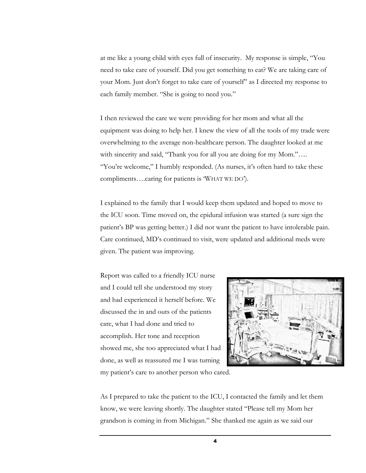at me like a young child with eyes full of insecurity. My response is simple, "You need to take care of yourself. Did you get something to eat? We are taking care of your Mom. Just don"t forget to take care of yourself" as I directed my response to each family member. "She is going to need you."

I then reviewed the care we were providing for her mom and what all the equipment was doing to help her. I knew the view of all the tools of my trade were overwhelming to the average non-healthcare person. The daughter looked at me with sincerity and said, "Thank you for all you are doing for my Mom.".... "You're welcome," I humbly responded. (As nurses, it's often hard to take these compliments….caring for patients is "WHAT WE DO").

I explained to the family that I would keep them updated and hoped to move to the ICU soon. Time moved on, the epidural infusion was started (a sure sign the patient"s BP was getting better.) I did not want the patient to have intolerable pain. Care continued, MD"s continued to visit, were updated and additional meds were given. The patient was improving.

Report was called to a friendly ICU nurse and I could tell she understood my story and had experienced it herself before. We discussed the in and outs of the patients care, what I had done and tried to accomplish. Her tone and reception showed me, she too appreciated what I had done, as well as reassured me I was turning my patient"s care to another person who cared.



As I prepared to take the patient to the ICU, I contacted the family and let them know, we were leaving shortly. The daughter stated "Please tell my Mom her grandson is coming in from Michigan." She thanked me again as we said our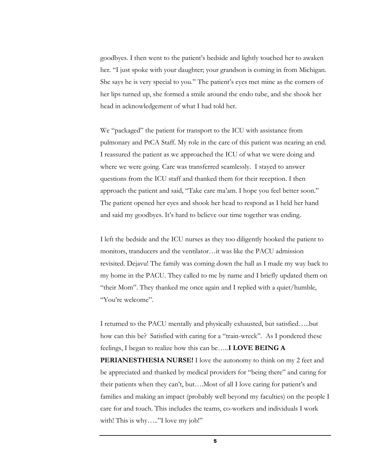goodbyes. I then went to the patient"s bedside and lightly touched her to awaken her. "I just spoke with your daughter; your grandson is coming in from Michigan. She says he is very special to you." The patient's eyes met mine as the corners of her lips turned up, she formed a smile around the endo tube, and she shook her head in acknowledgement of what I had told her.

We "packaged" the patient for transport to the ICU with assistance from pulmonary and PtCA Staff. My role in the care of this patient was nearing an end. I reassured the patient as we approached the ICU of what we were doing and where we were going. Care was transferred seamlessly. I stayed to answer questions from the ICU staff and thanked them for their reception. I then approach the patient and said, "Take care ma'am. I hope you feel better soon." The patient opened her eyes and shook her head to respond as I held her hand and said my goodbyes. It's hard to believe our time together was ending.

I left the bedside and the ICU nurses as they too diligently hooked the patient to monitors, tranducers and the ventilator…it was like the PACU admission revisited. Dejavu! The family was coming down the hall as I made my way back to my home in the PACU. They called to me by name and I briefly updated them on "their Mom". They thanked me once again and I replied with a quiet/humble, "You"re welcome".

I returned to the PACU mentally and physically exhausted, but satisfied…..but how can this be? Satisfied with caring for a "train-wreck". As I pondered these feelings, I began to realize how this can be…..**I LOVE BEING A PERIANESTHESIA NURSE!** I love the autonomy to think on my 2 feet and be appreciated and thanked by medical providers for "being there" and caring for their patients when they can't, but....Most of all I love caring for patient's and families and making an impact (probably well beyond my faculties) on the people I care for and touch. This includes the teams, co-workers and individuals I work with! This is why....."I love my job!"